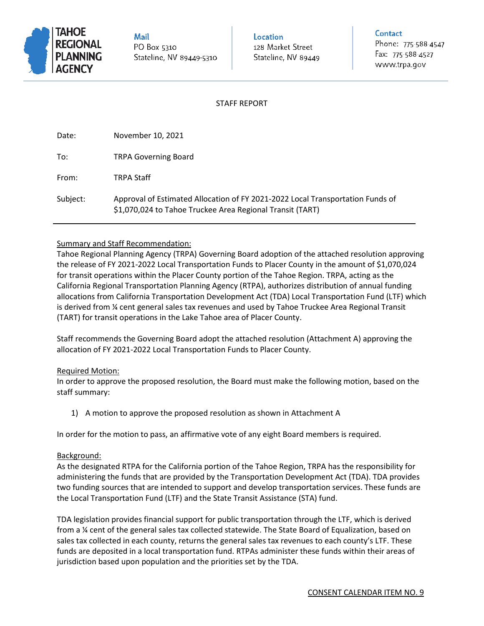

Mail PO Box 5310 Stateline, NV 89449-5310 **Location** 128 Market Street Stateline, NV 89449

#### **Contact**

Phone: 775-588-4547 Fax: 775-588-4527 www.trpa.gov

## STAFF REPORT

| Date:    | November 10, 2021                                                                                                                           |
|----------|---------------------------------------------------------------------------------------------------------------------------------------------|
| To:      | <b>TRPA Governing Board</b>                                                                                                                 |
| From:    | <b>TRPA Staff</b>                                                                                                                           |
| Subject: | Approval of Estimated Allocation of FY 2021-2022 Local Transportation Funds of<br>\$1,070,024 to Tahoe Truckee Area Regional Transit (TART) |

#### Summary and Staff Recommendation:

Tahoe Regional Planning Agency (TRPA) Governing Board adoption of the attached resolution approving the release of FY 2021-2022 Local Transportation Funds to Placer County in the amount of \$1,070,024 for transit operations within the Placer County portion of the Tahoe Region. TRPA, acting as the California Regional Transportation Planning Agency (RTPA), authorizes distribution of annual funding allocations from California Transportation Development Act (TDA) Local Transportation Fund (LTF) which is derived from ¼ cent general sales tax revenues and used by Tahoe Truckee Area Regional Transit (TART) for transit operations in the Lake Tahoe area of Placer County.

Staff recommends the Governing Board adopt the attached resolution (Attachment A) approving the allocation of FY 2021-2022 Local Transportation Funds to Placer County.

#### Required Motion:

In order to approve the proposed resolution, the Board must make the following motion, based on the staff summary:

1) A motion to approve the proposed resolution as shown in Attachment A

In order for the motion to pass, an affirmative vote of any eight Board members is required.

#### Background:

As the designated RTPA for the California portion of the Tahoe Region, TRPA has the responsibility for administering the funds that are provided by the Transportation Development Act (TDA). TDA provides two funding sources that are intended to support and develop transportation services. These funds are the Local Transportation Fund (LTF) and the State Transit Assistance (STA) fund.

TDA legislation provides financial support for public transportation through the LTF, which is derived from a ¼ cent of the general sales tax collected statewide. The State Board of Equalization, based on sales tax collected in each county, returns the general sales tax revenues to each county's LTF. These funds are deposited in a local transportation fund. RTPAs administer these funds within their areas of jurisdiction based upon population and the priorities set by the TDA.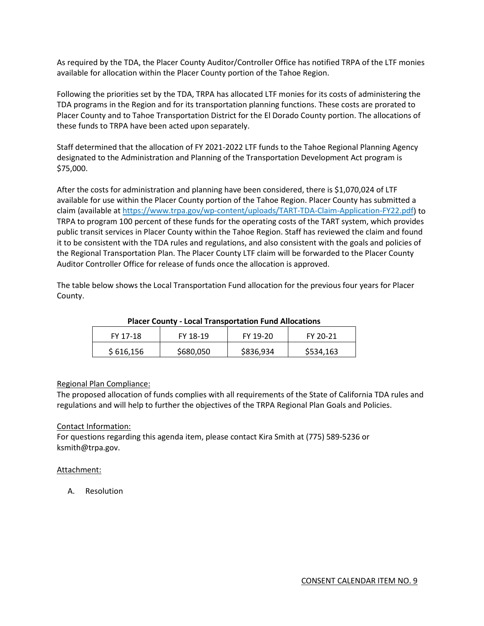As required by the TDA, the Placer County Auditor/Controller Office has notified TRPA of the LTF monies available for allocation within the Placer County portion of the Tahoe Region.

Following the priorities set by the TDA, TRPA has allocated LTF monies for its costs of administering the TDA programs in the Region and for its transportation planning functions. These costs are prorated to Placer County and to Tahoe Transportation District for the El Dorado County portion. The allocations of these funds to TRPA have been acted upon separately.

Staff determined that the allocation of FY 2021-2022 LTF funds to the Tahoe Regional Planning Agency designated to the Administration and Planning of the Transportation Development Act program is \$75,000.

After the costs for administration and planning have been considered, there is \$1,070,024 of LTF available for use within the Placer County portion of the Tahoe Region. Placer County has submitted a claim (available at [https://www.trpa.gov/wp-content/uploads/TART-TDA-Claim-Application-FY22.pdf\)](https://www.trpa.gov/wp-content/uploads/TART-TDA-Claim-Application-FY22.pdf) to TRPA to program 100 percent of these funds for the operating costs of the TART system, which provides public transit services in Placer County within the Tahoe Region. Staff has reviewed the claim and found it to be consistent with the TDA rules and regulations, and also consistent with the goals and policies of the Regional Transportation Plan. The Placer County LTF claim will be forwarded to the Placer County Auditor Controller Office for release of funds once the allocation is approved.

The table below shows the Local Transportation Fund allocation for the previous four years for Placer County.

| FY 17-18  | FY 18-19  | FY 19-20  | FY 20-21  |
|-----------|-----------|-----------|-----------|
| \$616,156 | \$680,050 | \$836,934 | \$534,163 |

#### **Placer County - Local Transportation Fund Allocations**

#### Regional Plan Compliance:

The proposed allocation of funds complies with all requirements of the State of California TDA rules and regulations and will help to further the objectives of the TRPA Regional Plan Goals and Policies.

## Contact Information:

For questions regarding this agenda item, please contact Kira Smith at (775) 589-5236 or ksmith@trpa.gov.

#### Attachment:

A. Resolution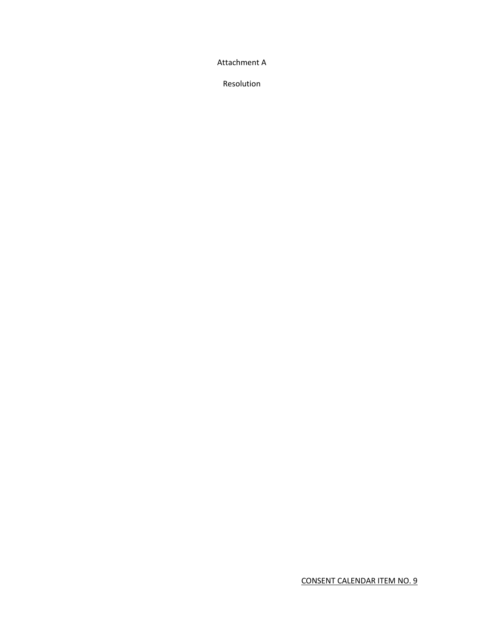Attachment A

Resolution

CONSENT CALENDAR ITEM NO. 9